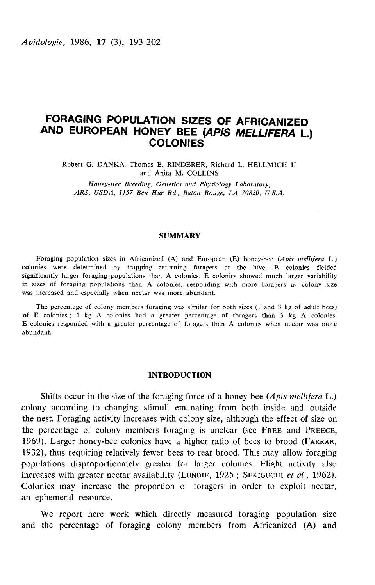# FORAGING POPULATION SIZES OF AFRICANIZED AND EUROPEAN HONEY BEE (APIS MELLIFERA L.) **COLONIES**

Robert G. DANKA, Thomas E. RINDERER, Richard L. HELLMICH II and Anita M. COLLINS

Honey-Bee Breeding, Genetics and Physiology Laboratory, ARS, USDA, 1157 Ben Hur Rd., Baton Rouge, LA 70820, U.S.A.

## **SUMMARY**

Foraging population sizes in Africanized (A) and European (E) honey-bee (Apis mellifera L.) colonies were determined by trapping returning foragers at the hive. E colonies fielded significantly larger foraging populations than A colonies. E colonies showed much larger variability in sizes of foraging populations than A colonies, responding with more foragers as colony size was increased and especially when nectar was more abundant.

The percentage of colony members foraging was similar for both sizes (1 and 3 kg of adult bees) of E colonies ; 1 kg A colonies had a greater percentage of foragers than 3 kg A colonies. E colonies responded with a greater percentage of foragers than A colonies when nectar was more abundant.

## INTRODUCTION

Shifts occur in the size of the foraging force of a honey-bee  $(A$ *pis mellifera* L.) colony according to changing stimuli emanating from both inside and outside the nest. Foraging activity increases with colony size, although the effect of size on Shifts occur in the size of the foraging force of a honey-bee (*Apis mellifera* L.)<br>colony according to changing stimuli emanating from both inside and outside<br>the nest. Foraging activity increases with colony size, althou colony according to changing stimuli emanating from both inside and outside<br>the nest. Foraging activity increases with colony size, although the effect of size on<br>the percentage of colony members foraging is unclear (see F 1932), thus requiring relatively fewer bees to rear brood. This may allow foraging populations disproportionately greater for larger colonies. Flight activity also the percentage of colony members foraging is unclear (see FREE and PREECE 1969). Larger honey-bee colonies have a higher ratio of bees to brood (FARRAR, 1932), thus requiring relatively fewer bees to rear brood. This may a Colonies may increase the proportion of foragers in order to exploit nectar, an ephemeral resource.

We report here work which directly measured foraging population size and the percentage of foraging colony members from Africanized (A) and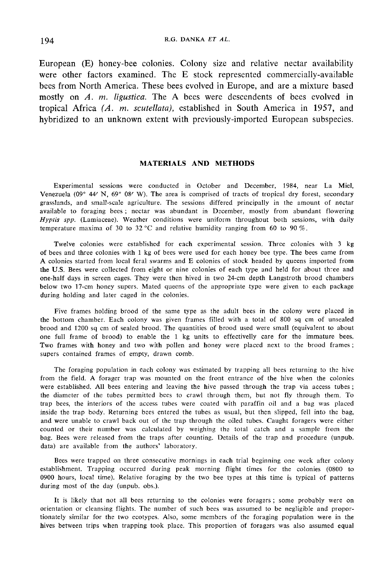European (E) honey-bee colonies. Colony size and relative nectar availability were other factors examined. The E stock represented commercially-available bees from North America. These bees evolved in Europe, and are a mixture based mostly on A. m. ligustica. The A bees were descendents of bees evolved in tropical Africa  $(A. m.$  scutellata), established in South America in 1957, and hybridized to an unknown extent with previously-imported European subspecies.

# MATERIALS AND METHODS

Experimental sessions were conducted in October and December, 1984, near La Miel, Venezuela (09 $^{\circ}$  44' N, 69 $^{\circ}$  08' W). The area is comprised of tracts of tropical dry forest, secondary grasslands, and small-scale agriculture. The sessions differed principally in the amount of nectar available to foraging bees ; nectar was abundant in December, mostly from abundant flowering Hyptis spp. (Lamiaceae). Weather conditions were uniform throughout both sessions, with daily temperature maxima of 30 to 32 °C and relative humidity ranging from 60 to 90 %.

Twelve colonies were established for each experimental session. Three colonies with 3 kg of bees and three colonies with 1 kg of bees were used for each honey bee type. The bees came from A colonies started from local feral swarms and E colonies of stock headed by queens imported from the U.S. Bees were collected from eight or nine colonies of each type and held for about three and one-half days in screen cages. They were then hived in two 24-cm depth Langstroth brood chambers below two 17-cm honey supers. Mated queens of the appropriate type were given to each package during holding and later caged in the colonies.

Five frames holding brood of the same type as the adult bees in the colony were placed in the bottom chamber. Each colony was given frames filled with a total of 800 sq cm of unsealed brood and 1200 sq cm of sealed brood. The quantities of brood used were small (equivalent to about one full frame of brood) to enable the 1 kg units to effectivelly care for the immature bees. Two frames with honey and two with pollen and honey were placed next to the brood frames ; supers contained frames of empty, drawn comb.

The foraging population in each colony was estimated by trapping all bees returning to the hive from the field. A forager trap was mounted on the front entrance of the hive when the colonies were established. All bees entering and leaving the hive passed through the trap via access tubes ; the diameter of the tubes permitted bees to crawl through them, but not fly through them. To trap bees, the interiors of the access tubes were coated with paraffin oil and a bag was placed inside the trap body. Returning bees entered the tubes as usual, but then slipped, fell into the bag, and were unable to crawl back out of the trap through the oiled tubes. Caught foragers were either counted or their number was calculated by weighing the total catch and a sample from the bag. Bees were released from the traps after counting. Details of the trap and procedure (unpub. data) are available from the authors' laboratory.

Bees were trapped on three consecutive mornings in each trial beginning one week after colony establishment. Trapping occurred during peak morning flight times for the colonies (0800 to 0900 hours, local time). Relative foraging by the two bee types at this time is typical of patterns during most of the day (unpub. obs.).

It is likely that not all bees returning to the colonies were foragers ; some probably were on orientation or cleansing flights. The number of such bees was assumed to be negligible and proportionately similar for the two ecotypes. Also, some members of the foraging population were in the hives between trips when trapping took place. This proportion of foragers was also assumed equal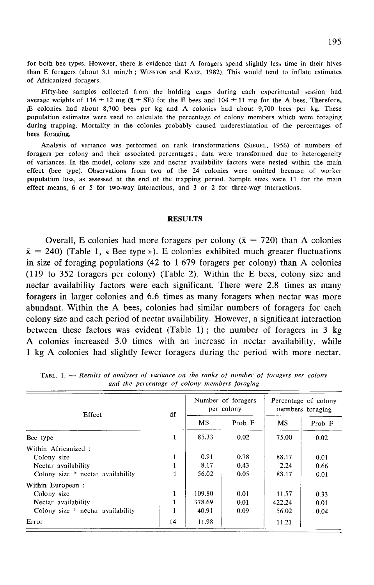for both bee types. However, there is evidence that A foragers spend slightly less time in their hives<br>than E foragers (about 3.1 min/h ; WiNSTON and KATZ, 1982). This would tend to inflate estimates of Africanized foragers.

Fifty-bee samples collected from the holding cages during each experimental session had average weights of 116  $\pm$  12 mg ( $\bar{x}$   $\pm$  SE) for the E bees and 104  $\pm$  11 mg for the A bees. Therefore,  $E$  colonies had about 8,700 bees per kg and A colonies had about 9,700 bees per kg. These population estimates were used to calculate the percentage of colony members which were foraging during trapping. Mortality in the colonies probably caused underestimation of the percentages of bees foraging.<br>
Analysis of variance was performed on rank transformations (SIEGEL, 1956) of numbers of foragers per colony a bees foraging.

foragers per colony and their associated percentages ; data were transformed due to heterogeneity of variances. In the model, colony size and nectar availability factors were nested within the main effect (bee type). Observations from two of the 24 colonies were omitted because of worker population loss, as assessed at the end of the trapping period. Sample sizes were 11 for the main effect means, 6 or 5 for two-way interactions, and 3 or 2 for three-way interactions.

#### **RESULTS**

Overall, E colonies had more foragers per colony ( $\bar{x} = 720$ ) than A colonies  $\bar{x}$  = 240) (Table 1, « Bee type »). E colonies exhibited much greater fluctuations in size of foraging populations  $(42 \text{ to } 1679)$  foragers per colony) than A colonies (119 to 352 foragers per colony) (Table 2). Within the E bees, colony size and nectar availability factors were each significant. There were 2.8 times as many foragers in larger colonies and 6.6 times as many foragers when nectar was more abundant. Within the A bees, colonies had similar numbers of foragers for each colony size and each period of nectar availability. However, a significant interaction between these factors was evident (Table 1) ; the number of foragers in 3 kg A colonies increased 3.0 times with an increase in nectar availability, while 1 kg A colonies had slightly fewer foragers during the period with more nectar.

| Effect                            | df           | Number of foragers<br>per colony |      | Percentage of colony<br>members foraging |        |
|-----------------------------------|--------------|----------------------------------|------|------------------------------------------|--------|
|                                   |              | <b>MS</b>                        |      | <b>MS</b>                                | Prob F |
| Bee type                          | 1            | 85.33                            | 0.02 | 75.00                                    | 0.02   |
| Within Africanized:               |              |                                  |      |                                          |        |
| Colony size                       | 1            | 0.91                             | 0.78 | 88.17                                    | 0.01   |
| Nectar availability               | 1            | 8.17                             | 0.43 | 2.24                                     | 0.66   |
| Colony size * nectar availability |              | 56.02                            | 0.05 | 88.17                                    | 0.01   |
| Within European:                  |              |                                  |      |                                          |        |
| Colony size                       | $\mathbf{1}$ | 109.80                           | 0.01 | 11.57                                    | 0.33   |
| Nectar availability               |              | 378.69                           | 0.01 | 422.24                                   | 0.01   |
| Colony size * nectar availability |              | 40.91                            | 0.09 | 56.02                                    | 0.04   |
| Error                             | 14           | 11.98                            |      | 11.21                                    |        |

**TABL.** 1.  $-$  Results of analyses of variance on the ranks of number of foragers per colony and the percentage of colony members foraging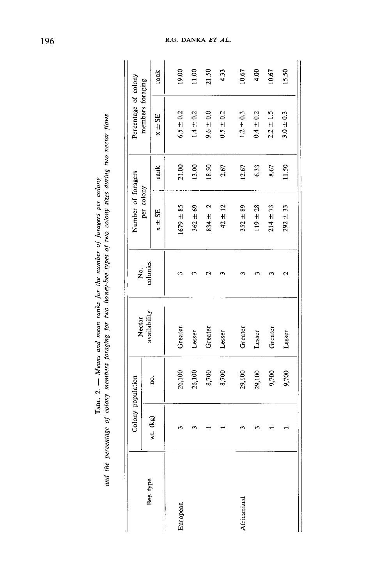|             |          | Colony population | Nectar       | ρ.       | Number of foragers        |       | Percentage of colony |       |
|-------------|----------|-------------------|--------------|----------|---------------------------|-------|----------------------|-------|
| Bee type    |          |                   | availability | colonies | per colony                |       | members foraging     |       |
|             | wt. (kg) | no.               |              |          | $x \pm SE$                | rank  | $x \pm SE$           | rank  |
| European    |          | 26,100            | Greater      | ო        | $1679 = 85$               | 21.00 | $6.5 \pm 0.2$        | 19.00 |
|             |          | 26,100            | Lesser       |          | $362 \pm 69$              | 13.00 | $1.4 \pm 0.2$        | 11.00 |
|             |          | 8,700             | Greater      | N        | $\mathbf{c}$<br>$834 \pm$ | 18.50 | $9.6 \pm 0.0$        | 21.50 |
|             |          | 8,700             | Lesser       |          | $42 \pm 12$               | 2.67  | $0.5 \pm 0.2$        | 4.33  |
| Africanized |          | 29,100            | Greater      |          | $352 \pm 89$              | 12.67 | $1.2 \pm 0.3$        | 10.67 |
|             |          | 29,100            | Lesser       |          | $119 \pm 28$              | 6.33  | $0.4 \pm 0.2$        | 4.00  |
|             |          | 9,700             | Greater      |          | $214 \pm 73$              | 8.67  | $2.2 \pm 1.5$        | 10.67 |
|             |          | 9,700             | Lesser       | Ν        | $292 \pm 33$              | 11.50 | $3.0 \pm 0.3$        | 15.50 |
|             |          |                   |              |          |                           |       |                      |       |

and the percentage of colony members foraging for two honey-bee types of two colony sizes during two nectar flows TABL. 2. - Means and mean ranks for the number of foragers per colony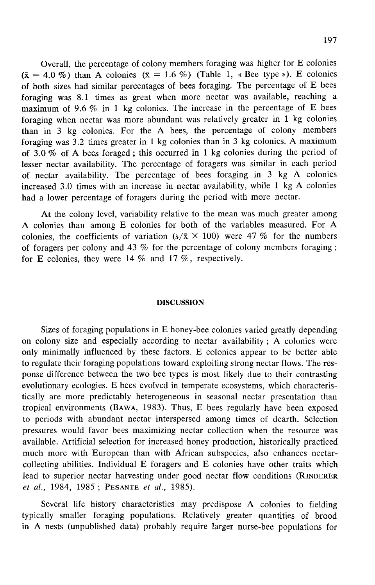Overall, the percentage of colony members foraging was higher for E colonies  $(\bar{x} = 4.0\%)$  than A colonies  $(\bar{x} = 1.6\%)$  (Table 1, « Bee type »). E colonies of both sizes had similar percentages of bees foraging. The percentage of E bees foraging was 8.1 times as great when more nectar was available, reaching a maximum of 9.6  $\%$  in 1 kg colonies. The increase in the percentage of E bees foraging when nectar was more abundant was relatively greater in 1 kg colonies than in 3 kg colonies. For the A bees, the percentage of colony members foraging was 3.2 times greater in 1 kg colonies than in 3 kg colonies. A maximum of 3.0 % of A bees foraged ; this occurred in 1 kg colonies during the period of lesser nectar availability. The percentage of foragers was similar in each period of nectar availability. The percentage of bees foraging in 3 kg A colonies increased 3.0 times with an increase in nectar availability, while 1 kg A colonies had a lower percentage of foragers during the period with more nectar.

At the colony level, variability relative to the mean was much greater among A colonies than among E colonies for both of the variables measured. For A colonies, the coefficients of variation  $(s/\bar{x} \times 100)$  were 47 % for the numbers of foragers per colony and 43 % for the percentage of colony members foraging ; for E colonies, they were 14 % and 17 %, respectively.

# DISCUSSION

Sizes of foraging populations in E honey-bee colonies varied greatly depending on colony size and especially according to nectar availability ; A colonies were only minimally influenced by these factors. E colonies appear to be better able to regulate their foraging populations toward exploiting strong nectar flows. The response difference between the two bee types is most likely due to their contrasting evolutionary ecologies. E bees evolved in temperate ecosystems, which characteristically are more predictably heterogeneous in seasonal nectar presentation than tropical environments (BAWA, 1983). Thus, E bees regularly have been exposed to periods with abundant nectar interspersed among times of dearth. Selection pressures would favor bees maximizing nectar collection when the resource was available. Artificial selection for increased honey production, historically practiced much more with European than with African subspecies, also enhances nectarcollecting abilities. Individual E foragers and E colonies have other traits which much more with European than with African subspecies, also emiances nectar-<br>collecting abilities. Individual E foragers and E colonies have other traits which<br>lead to superior nectar harvesting under good nectar flow condi much more with European than with Afric<br>collecting abilities. Individual E foragers an<br>lead to superior nectar harvesting under goot<br>et al., 1984, 1985; PESANTE et al., 1985).

Several life history characteristics may predispose A colonies to fielding typically smaller foraging populations. Relatively greater quantities of brood in A nests (unpublished data) probably require larger nurse-bee populations for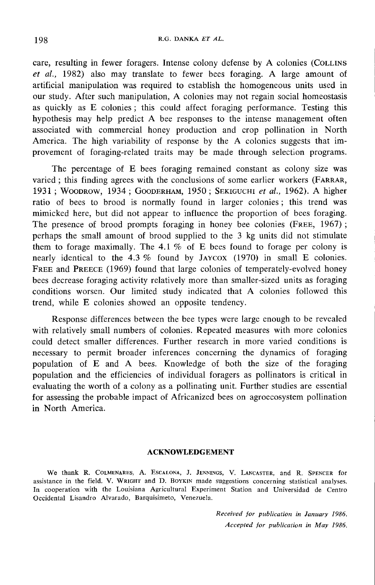care, resulting in fewer foragers. Intense colony defense by A colonies (COLLINS et al., 1982) also may translate to fewer bees foraging. A large amount of artificial manipulation was required to establish the homogeneous units used in our study. After such manipulation, A colonies may not regain social homeostasis as quickly as E colonies ; this could affect foraging performance. Testing this hypothesis may help predict A bee responses to the intense management often associated with commercial honey production and crop pollination in North provement of foraging-related traits may be made through selection programs.

America. The high variability of response by the A colonies suggests that im-<br>provement of foraging-related traits may be made through selection programs.<br>The percentage of E bees foraging remained constant as colony size The percentage of E bees foraging remained constant as colony size was varied; this finding agrees with the conclusions of some earlier workers (FARRAR, America. The high variability of response by the A colonies suggests that im-<br>provement of foraging-related traits may be made through selection programs.<br>The percentage of E bees foraging remained constant as colony size ratio of bees to brood is normally found in larger colonies ; this trend was mimicked here, but did not appear to influence the proportion of bees foraging. The presence of brood prompts foraging in honey bee colonies (FREE, 1967) ; perhaps the small amount of brood supplied to the 3 kg units did not stimulate them to forage maximally. The  $4.1\%$  of E bees found to forage per colony is The presence of brood prompts foraging in honey bee colonies (FREE, 1907);<br>perhaps the small amount of brood supplied to the 3 kg units did not stimulate<br>them to forage maximally. The 4.1 % of E bees found to forage per co perhaps the small amount of brood supplied to the 3 kg units did not stimulate<br>them to forage maximally. The 4.1 % of E bees found to forage per colony is<br>nearly identical to the 4.3 % found by JAYCOX (1970) in small E co bees decrease foraging activity relatively more than smaller-sized units as foraging conditions worsen. Our limited study indicated that A colonies followed this trend, while E colonies showed an opposite tendency.

Response differences between the bee types were large enough to be revealed with relatively small numbers of colonies. Repeated measures with more colonies could detect smaller differences. Further research in more varied conditions is necessary to permit broader inferences concerning the dynamics of foraging population of E and A bees. Knowledge of both the size of the foraging population and the efficiencies of individual foragers as pollinators is critical in evaluating the worth of a colony as a pollinating unit. Further studies are essential for assessing the probable impact of Africanized bees on agroecosystem pollination in North America.

## ACKNOWLEDGEMENT

We thank R. COLMENARES, A. ESCALONA, J. JENNINGS, V. LANCASTER, and R. SPENCER for assistance in the field. V. WRIGHT and D. BOYKIN made suggestions concerning statistical analyses. In cooperation with the Louisiana Agricultural Experiment Station and Universidad de Centro Occidental Lisandro Alvarado, Barquisimeto, Venezuela.

> Received for publication in January 1986. Accepted for publication in May 1986.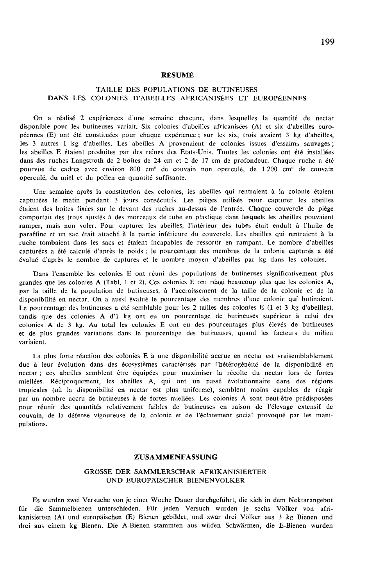#### RÉSUMÉ

# TAILLE DES POPULATIONS DE BUTINEUSES DANS LES COLONIES D'ABEILLES AFRICANISÉES ET EUROPÉENNES

On a réalisé 2 expériences d'une semaine chacune, dans lesquelles la quantité de nectar disponible pour les butineuses variait. Six colonies d'abeilles africanisées (A) et six d'abeilles euro-<br>péennes (E) ont été constituées pour chaque expérience ; sur les six, trois avaient 3 kg d'abeilles. les 3 autres 1 kg d'abeilles. Les abeilles A provenaient de colonies issues d'essaims sauvages ; les abeilles E étaient produites par des reines des Etats-Unis. Toutes les colonies ont été installées dans des ruches Langstroth de 2 boîtes de 24 cm et 2 de 17 cm de profondeur. Chaque ruche a été pourvue de cadres avec environ 800 cm<sup>2</sup> de couvain non operculé, de 1 200 cm<sup>2</sup> de couvain operculé, du miel et du pollen en quantité suffisante.

Une semaine après la constitution des colonies, les abeilles qui rentraient à la colonie étaient capturées le matin pendant 3 jours consécutifs. Les pièges utilisés pour capturer les abeilles étaient des boîtes fixées sur le devant des ruches au-dessus de l'entrée. Chaque couvercle de piège comportait des trous ajustés à des morceaux de tube en plastique dans lesquels les abeilles pouvaient ramper, mais non voler. Pour capturer les abeilles, l'intérieur des tubes était enduit à l'huile de paraffine et un sac était attaché à la partie inférieure du couvercle. Les abeilles qui rentraient à la ruche tombaient dans les sacs et étaient incapables de ressortir en rampant. Le nombre d'abeilles capturées a été calculé d'après le poids ; le pourcentage des membres de la colonie capturés a été évalué d'après le nombre de captures et le nombre moyen d'abeilles par kg dans les colonies.

Dans l'ensemble les colonies E ont réuni des populations de butineuses significativement plus grandes que les colonies A (Tabl. 1 et 2). Ces colonies E ont réagi beaucoup plus que les colonies A, par la taille de la population de butineuses, à l'accroissement de la taille de la colonie et de la disponibilité en nectar. On a aussi évalué le pourcentage des membres d'une colonie qui butinaient. Le pourcentage des butineuses a été semblable pour les 2 tailles des colonies E (1 et 3 kg d'abeilles), tandis que des colonies A d'1 kg ont eu un pourcentage de butineuses supérieur à celui des colonies A de 3 kg. Au total les colonies E ont eu des pourcentages plus élevés de butineuses et de plus grandes variations dans le pourcentage des butineuses, quand les facteurs du milieu variaient.

La plus forte réaction des colonies E à une disponibilité accrue en nectar est vraisemblablement due à leur évolution dans des écosystèmes caractérisés par l'hétérogénéité de la disponibilité en nectar ; ces abeilles semblent être équipées pour maximiser la récolte du nectar lors de fortes miellées. Réciproquement, les abeilles A, qui ont un passé évolutionnaire dans des régions tropicales (où la disponibilité en nectar est plus uniforme), semblent moins capables de réagir par un nombre accru de butineuses à de fortes miellées. Les colonies A sont peut-être prédisposées pour réunir des quantités relativement faibles de butineuses en raison de l'élevage extensif de couvain, de la défense vigoureuse de la colonie et de l'éclatement social provoqué par les manipulations.

## ZUSAMMENFASSUNG

#### GRÖSSE DER SAMMLERSCHAR AFRIKANISIERTER UND EUROPÄISCHER BIENENVÖLKER

Es wurden zwei Versuche von je einer Woche Dauer durchgeführt, die sich in dem Nektarangebot für die Sammelbienen unterschieden. Für jeden Versuch wurden je sechs Völker von afrikanisierten (A) und europäischen (E) Bienen gebildet, und zwar drei Völker aus 3 kg Bienen und drei aus einem kg Bienen. Die A-Bienen stammten aus wilden Schwärmen, die E-Bienen wurden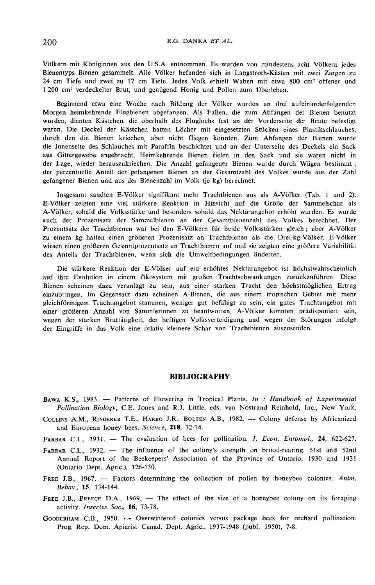Völkern mit Königinnen aus den U.S.A. entnommen. Es wurden von mindestens acht Völkern jedes Bienentyps Bienen gesammelt. Alle Völker befanden sich in Langstroth-Kästen mit zwei Zargen zu 24 cm Tiefe und zwei zu 17 cm Tiefe. Jedes Volk erhielt Waben mit etwa 800 cm2 offener und 1 200 cm<sup>3</sup> verdeckelter Brut, und genügend Honig und Pollen zum Überleben.

Beginnend etwa eine Woche nach Bildung der Völker wurden an drei aufeinanderfolgenden Morgen heimkehrende Flugbienen abgefangen. Als Fallen, die zum Abfangen der Bienen benutzt wurden, dienten Kästchen, die oberhalb des Fluglochs fest an der Vorderseite der Beute befestigt waren. Die Deckel der Kästchen hatten Löcher mit eingesetzten Stücken eines Plastikschlauches, durch den die Bienen kriechen, aber nicht fliegen konnten. Zum Abfangen der Bienen wurde die Innenseite des Schlauches mit Paraffin beschichtet und an der Unterseite des Deckels ein Sack aus Gittergewebe angebracht. Heimkehrende Bienen fielen in den Sack und sie waren nicht in der Lage, wieder herauszukriechen. Die Anzahl gefangener Bienen wurde durch Wägen bestimmt ; der perzentuelle Anteil der gefangenen Bienen an der Gesamtzahl des Volkes wurde aus der Zahl gefangener Bienen und aus der Bienenzahl im Volk (je kg) berechnet.

Insgesamt sandten E-Völker signifikant mehr Trachtbienen aus als A-Völker (Tab. 1 und 2). E-Völker zeigten eine viel stärkere Reaktion in Hinsicht auf die Größe der Sammelschar als A-Völker, sobald die Volksstärke und besonders sobald das Nektarangebot erhöht wurden. Es wurde auch der Prozentsatz der Sammelbienen an der Gesamtbienenzahl des Volkes berechnet. Der Prozentsatz der Trachtbienen war bei den E-Völkern für beide Volksstärken gleich ; aber A-Völker zu einem kg hatten einen größeren Prozentsatz an Trachtbienen als die Drei-kg-Völker. E-Völker wiesen einen größeren Gesamtprozentsatz an Trachtbienen auf und sie zeigten eine größere Variabilität des Anteils der Trachtbienen, wenn sich die Umweltbedingungen änderten.

Die stärkere Reaktion der E-Völker auf ein erhöhtes Nektarangebot ist höchstwahrscheinlich auf ihre Evolution in einem Ökosystem mit großen Trachtschwankungen zurückzuführen. Diese Bienen scheinen dazu veranlagt zu sein, aus einer starken Tracht den höchstmöglichen Ertrag einzubringen. Im Gegensatz dazu scheinen A-Bienen, die aus einem tropischen Gebiet mit mehr gleichförmigem Trachtangebot stammen, weniger gut befähigt zu sein, ein gutes Trachtangebot mit einer größeren Anzahl von Sammlerinnen zu beantworten. A-Völker könnten prädisponiert sein, wegen der starken Bruttätigkeit, der heftigen Volksverteidigung und wegen der Störungen infolge der Eingriffe in das Volk eine relativ kleinere Schar von Trachtbienen auszusenden.

#### BIBLIOGRAPHY

- $B_{\text{AWA}}$  K.S., 1983. Patterns of Flowering in Tropical Plants. In: Handbook of Experimental<br>Religions Biology C.E. Japan and B.J. Little ado van Nostrand Beinhald Inc. New York Pollination Biology, C.E. Jones and R.J. Little, eds. van Nostrand Reinhold, Inc., New York. BAWA K.S., 1983. — Patterns of Flowering in Tropical Plants. *In : Handbook of Experimental Pollination Biology*, C.E. Jones and R.J. Little, eds. van Nostrand Reinhold, Inc., New York. COLLINS A.M., RINDERER T.E., HARBO
- and European honey bees. Science, 218, 72-74. COLLINS A.M., RINDERER T.E., HARBO J.R., BOLTEN A.B., 1982. -- Colony defense by Africanized<br>and European honey bees. Science, 218, 72-74.<br>FARRAR C.L., 1931. -- The evaluation of bees for pollination. J. Econ. Entomol., 24
- 
- FARRAR C.L., 1932. The influence of the colony's strength on brood-rearing. 51st and 52nd Annual Report of the Beekeepers' Association of the Province of Ontario, 1930 and 1931 (Ontario Dept. Agric.), 126-130.
- FREE J.B., 1967. Factors determining the collection of pollen by honeybee colonies. Anim.<br>
Behav., 15, 134-144.<br>
FREE J.B., PREECE D.A., 1969. The effect of the size of a honeybee colony on its foraging<br>
activity. Inse Behav., 15, 134-144.
- activity. Insectes Soc., 16, 73-78.
- Prog. Rep. Dom. Apiarist Canad. Dept. Agric., 1937-1948 (publ. 1950), 7-8.